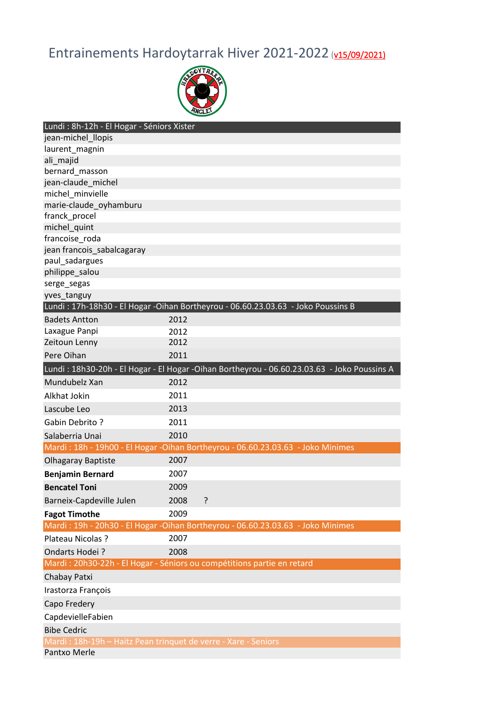## Entrainements Hardoytarrak Hiver 2021-2022 (v15/09/2021)



| Lundi : 8h-12h - El Hogar - Séniors Xister                     |      |                                                                                              |
|----------------------------------------------------------------|------|----------------------------------------------------------------------------------------------|
| jean-michel_llopis                                             |      |                                                                                              |
| laurent_magnin                                                 |      |                                                                                              |
| ali_majid                                                      |      |                                                                                              |
| bernard_masson                                                 |      |                                                                                              |
| jean-claude michel                                             |      |                                                                                              |
| michel minvielle                                               |      |                                                                                              |
| marie-claude_oyhamburu                                         |      |                                                                                              |
| franck_procel                                                  |      |                                                                                              |
| michel_quint                                                   |      |                                                                                              |
| francoise roda                                                 |      |                                                                                              |
| jean francois_sabalcagaray                                     |      |                                                                                              |
| paul_sadargues                                                 |      |                                                                                              |
| philippe_salou                                                 |      |                                                                                              |
| serge_segas                                                    |      |                                                                                              |
| yves_tanguy                                                    |      |                                                                                              |
|                                                                |      | Lundi: 17h-18h30 - El Hogar -Oihan Bortheyrou - 06.60.23.03.63 - Joko Poussins B             |
| <b>Badets Antton</b>                                           | 2012 |                                                                                              |
| Laxague Panpi                                                  | 2012 |                                                                                              |
| Zeitoun Lenny                                                  | 2012 |                                                                                              |
| Pere Oihan                                                     | 2011 |                                                                                              |
|                                                                |      | Lundi: 18h30-20h - El Hogar - El Hogar - Oihan Bortheyrou - 06.60.23.03.63 - Joko Poussins A |
| Mundubelz Xan                                                  | 2012 |                                                                                              |
| Alkhat Jokin                                                   | 2011 |                                                                                              |
| Lascube Leo                                                    | 2013 |                                                                                              |
| <b>Gabin Debrito?</b>                                          | 2011 |                                                                                              |
| Salaberria Unai                                                | 2010 |                                                                                              |
|                                                                |      | Mardi: 18h - 19h00 - El Hogar - Oihan Bortheyrou - 06.60.23.03.63 - Joko Minimes             |
| <b>Olhagaray Baptiste</b>                                      | 2007 |                                                                                              |
| <b>Benjamin Bernard</b>                                        | 2007 |                                                                                              |
| <b>Bencatel Toni</b>                                           | 2009 |                                                                                              |
| Barneix-Capdeville Julen                                       | 2008 | ?                                                                                            |
| <b>Fagot Timothe</b>                                           | 2009 |                                                                                              |
|                                                                |      | Mardi: 19h - 20h30 - El Hogar -Oihan Bortheyrou - 06.60.23.03.63 - Joko Minimes              |
| Plateau Nicolas ?                                              | 2007 |                                                                                              |
| Ondarts Hodei?                                                 | 2008 |                                                                                              |
|                                                                |      | Mardi : 20h30-22h - El Hogar - Séniors ou compétitions partie en retard                      |
| Chabay Patxi                                                   |      |                                                                                              |
| Irastorza François                                             |      |                                                                                              |
| Capo Fredery                                                   |      |                                                                                              |
| CapdevielleFabien                                              |      |                                                                                              |
| <b>Bibe Cedric</b>                                             |      |                                                                                              |
| Mardi: 18h-19h - Haitz Pean trinquet de verre - Xare - Seniors |      |                                                                                              |
| Pantxo Merle                                                   |      |                                                                                              |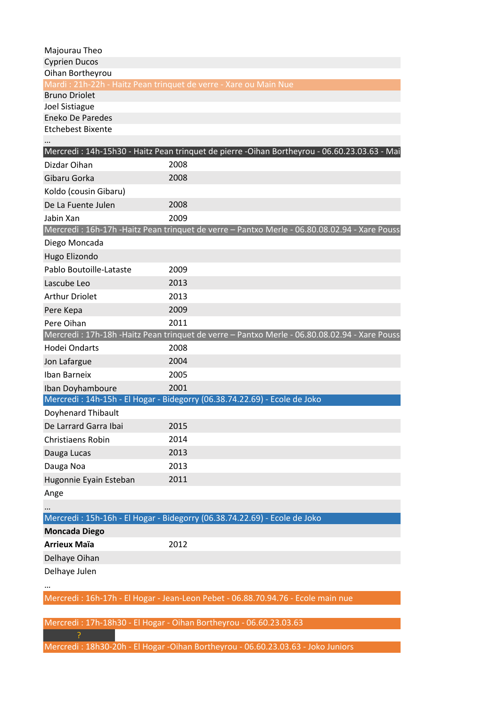| Majourau Theo                                                                            |      |                                                                                              |
|------------------------------------------------------------------------------------------|------|----------------------------------------------------------------------------------------------|
| <b>Cyprien Ducos</b>                                                                     |      |                                                                                              |
| Oihan Bortheyrou                                                                         |      |                                                                                              |
| Mardi: 21h-22h - Haitz Pean trinquet de verre - Xare ou Main Nue<br><b>Bruno Driolet</b> |      |                                                                                              |
| Joel Sistiague                                                                           |      |                                                                                              |
| <b>Eneko De Paredes</b>                                                                  |      |                                                                                              |
| <b>Etchebest Bixente</b>                                                                 |      |                                                                                              |
|                                                                                          |      |                                                                                              |
|                                                                                          |      | Mercredi: 14h-15h30 - Haitz Pean trinquet de pierre -Oihan Bortheyrou - 06.60.23.03.63 - Mai |
| Dizdar Oihan                                                                             | 2008 |                                                                                              |
| Gibaru Gorka                                                                             | 2008 |                                                                                              |
| Koldo (cousin Gibaru)                                                                    |      |                                                                                              |
| De La Fuente Julen                                                                       | 2008 |                                                                                              |
| Jabin Xan                                                                                | 2009 |                                                                                              |
|                                                                                          |      | Mercredi: 16h-17h -Haitz Pean trinquet de verre - Pantxo Merle - 06.80.08.02.94 - Xare Pouss |
| Diego Moncada                                                                            |      |                                                                                              |
| Hugo Elizondo                                                                            |      |                                                                                              |
| Pablo Boutoille-Lataste                                                                  | 2009 |                                                                                              |
| Lascube Leo                                                                              | 2013 |                                                                                              |
| <b>Arthur Driolet</b>                                                                    | 2013 |                                                                                              |
| Pere Kepa                                                                                | 2009 |                                                                                              |
| Pere Oihan                                                                               | 2011 |                                                                                              |
|                                                                                          |      | Mercredi: 17h-18h -Haitz Pean trinquet de verre - Pantxo Merle - 06.80.08.02.94 - Xare Pouss |
| Hodei Ondarts                                                                            | 2008 |                                                                                              |
| Jon Lafargue                                                                             | 2004 |                                                                                              |
| <b>Iban Barneix</b>                                                                      | 2005 |                                                                                              |
| Iban Doyhamboure                                                                         | 2001 |                                                                                              |
| Mercredi: 14h-15h - El Hogar - Bidegorry (06.38.74.22.69) - Ecole de Joko                |      |                                                                                              |
| Doyhenard Thibault                                                                       |      |                                                                                              |
| De Larrard Garra Ibai                                                                    | 2015 |                                                                                              |
| Christiaens Robin                                                                        | 2014 |                                                                                              |
| Dauga Lucas                                                                              | 2013 |                                                                                              |
| Dauga Noa                                                                                | 2013 |                                                                                              |
| Hugonnie Eyain Esteban                                                                   | 2011 |                                                                                              |
| Ange                                                                                     |      |                                                                                              |
|                                                                                          |      |                                                                                              |
| Mercredi: 15h-16h - El Hogar - Bidegorry (06.38.74.22.69) - Ecole de Joko                |      |                                                                                              |
| <b>Moncada Diego</b>                                                                     |      |                                                                                              |
| <b>Arrieux Maïa</b>                                                                      | 2012 |                                                                                              |
| Delhaye Oihan                                                                            |      |                                                                                              |
| Delhaye Julen                                                                            |      |                                                                                              |
|                                                                                          |      |                                                                                              |
|                                                                                          |      | Mercredi: 16h-17h - El Hogar - Jean-Leon Pebet - 06.88.70.94.76 - Ecole main nue             |
|                                                                                          |      |                                                                                              |

Mercredi : 17h-18h30 - El Hogar - Oihan Bortheyrou - 06.60.23.03.63 ?

Mercredi : 18h30-20h - El Hogar -Oihan Bortheyrou - 06.60.23.03.63 - Joko Juniors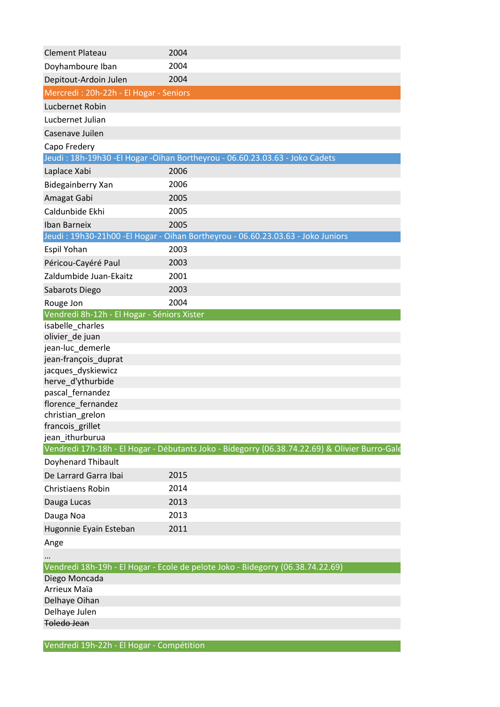| <b>Clement Plateau</b>                      | 2004                                                                                           |
|---------------------------------------------|------------------------------------------------------------------------------------------------|
| Doyhamboure Iban                            | 2004                                                                                           |
| Depitout-Ardoin Julen                       | 2004                                                                                           |
| Mercredi: 20h-22h - El Hogar - Seniors      |                                                                                                |
| Lucbernet Robin                             |                                                                                                |
| Lucbernet Julian                            |                                                                                                |
| Casenave Juilen                             |                                                                                                |
| Capo Fredery                                |                                                                                                |
|                                             | Jeudi: 18h-19h30 - El Hogar - Oihan Bortheyrou - 06.60.23.03.63 - Joko Cadets                  |
| Laplace Xabi                                | 2006                                                                                           |
| Bidegainberry Xan                           | 2006                                                                                           |
| Amagat Gabi                                 | 2005                                                                                           |
| Caldunbide Ekhi                             | 2005                                                                                           |
| <b>Iban Barneix</b>                         | 2005                                                                                           |
|                                             | Jeudi: 19h30-21h00 -El Hogar - Oihan Bortheyrou - 06.60.23.03.63 - Joko Juniors                |
| Espil Yohan                                 | 2003                                                                                           |
| Péricou-Cayéré Paul                         | 2003                                                                                           |
| Zaldumbide Juan-Ekaitz                      | 2001                                                                                           |
| Sabarots Diego                              | 2003                                                                                           |
| Rouge Jon                                   | 2004                                                                                           |
| Vendredi 8h-12h - El Hogar - Séniors Xister |                                                                                                |
| isabelle_charles                            |                                                                                                |
| olivier_de juan                             |                                                                                                |
| jean-luc_demerle                            |                                                                                                |
| jean-françois duprat                        |                                                                                                |
| jacques_dyskiewicz<br>herve_d'ythurbide     |                                                                                                |
| pascal fernandez                            |                                                                                                |
| florence_fernandez                          |                                                                                                |
| christian grelon                            |                                                                                                |
| francois_grillet                            |                                                                                                |
| jean_ithurburua                             |                                                                                                |
|                                             | Vendredi 17h-18h - El Hogar - Débutants Joko - Bidegorry (06.38.74.22.69) & Olivier Burro-Gale |
| <b>Doyhenard Thibault</b>                   |                                                                                                |
| De Larrard Garra Ibai                       | 2015                                                                                           |
| <b>Christiaens Robin</b>                    | 2014                                                                                           |
| Dauga Lucas                                 | 2013                                                                                           |
| Dauga Noa                                   | 2013                                                                                           |
| Hugonnie Eyain Esteban                      | 2011                                                                                           |
| Ange                                        |                                                                                                |
|                                             |                                                                                                |
|                                             | Vendredi 18h-19h - El Hogar - Ecole de pelote Joko - Bidegorry (06.38.74.22.69)                |
| Diego Moncada                               |                                                                                                |
| Arrieux Maïa                                |                                                                                                |
| Delhaye Oihan                               |                                                                                                |
| Delhaye Julen<br><b>Toledo Jean</b>         |                                                                                                |
|                                             |                                                                                                |

Vendredi 19h-22h - El Hogar - Compétition